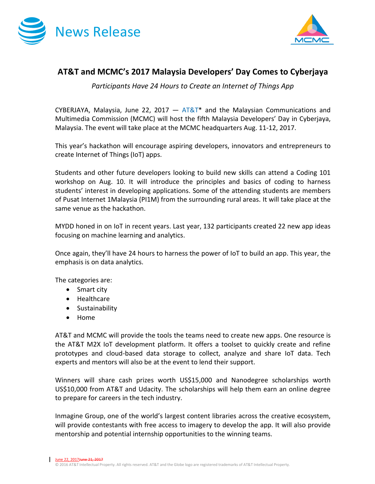



## **AT&T and MCMC's 2017 Malaysia Developers' Day Comes to Cyberjaya**

*Participants Have 24 Hours to Create an Internet of Things App*

CYBERJAYA, Malaysia, June 22, 2017  $-$  [AT&T\\*](http://about.att.com/category/all_news.html) and the Malaysian Communications and Multimedia Commission (MCMC) will host the fifth Malaysia Developers' Day in Cyberjaya, Malaysia. The event will take place at the MCMC headquarters Aug. 11-12, 2017.

This year's hackathon will encourage aspiring developers, innovators and entrepreneurs to create Internet of Things (IoT) apps.

Students and other future developers looking to build new skills can attend a Coding 101 workshop on Aug. 10. It will introduce the principles and basics of coding to harness students' interest in developing applications. Some of the attending students are members of Pusat Internet 1Malaysia (PI1M) from the surrounding rural areas. It will take place at the same venue as the hackathon.

MYDD honed in on IoT in recent years. Last year, 132 participants created 22 new app ideas focusing on machine learning and analytics.

Once again, they'll have 24 hours to harness the power of IoT to build an app. This year, the emphasis is on data analytics.

The categories are:

- Smart city
- Healthcare
- **•** Sustainability
- Home

AT&T and MCMC will provide the tools the teams need to create new apps. One resource is the AT&T M2X IoT development platform. It offers a toolset to quickly create and refine prototypes and cloud-based data storage to collect, analyze and share IoT data. Tech experts and mentors will also be at the event to lend their support.

Winners will share cash prizes worth US\$15,000 and Nanodegree scholarships worth US\$10,000 from AT&T and Udacity. The scholarships will help them earn an online degree to prepare for careers in the tech industry.

Inmagine Group, one of the world's largest content libraries across the creative ecosystem, will provide contestants with free access to imagery to develop the app. It will also provide mentorship and potential internship opportunities to the winning teams.

June 22, 2017 Hune 21, 2017

© 2016 AT&T Intellectual Property. All rights reserved. AT&T and the Globe logo are registered trademarks of AT&T Intellectual Property.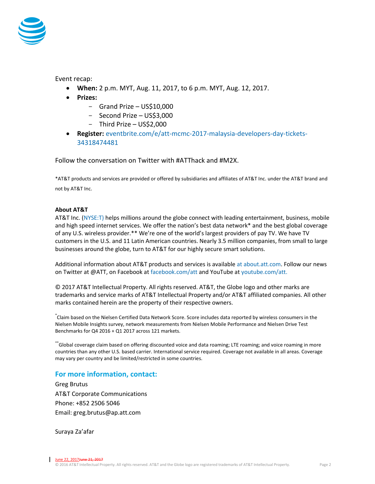

Event recap:

- **When:** 2 p.m. MYT, Aug. 11, 2017, to 6 p.m. MYT, Aug. 12, 2017.
- **Prizes:**
	- Grand Prize US\$10,000
	- Second Prize US\$3,000
	- Third Prize US\$2,000
- **Register:** [eventbrite.com/e/att-mcmc-2017-malaysia-developers-day-tickets-](https://www.eventbrite.com/e/att-mcmc-2017-malaysia-developers-day-tickets-34318474481)[34318474481](https://www.eventbrite.com/e/att-mcmc-2017-malaysia-developers-day-tickets-34318474481)

Follow the conversation on Twitter with #ATThack and #M2X.

\*AT&T products and services are provided or offered by subsidiaries and affiliates of AT&T Inc. under the AT&T brand and not by AT&T Inc.

## **About AT&T**

AT&T Inc. [\(NYSE:T\)](http://www.att.com/gen/landing-pages?pid=5718) helps millions around the globe connect with leading entertainment, business, mobile and high speed internet services. We offer the nation's best data network\* and the best global coverage of any U.S. wireless provider.\*\* We're one of the world's largest providers of pay TV. We have TV customers in the U.S. and 11 Latin American countries. Nearly 3.5 million companies, from small to large businesses around the globe, turn to AT&T for our highly secure smart solutions.

Additional information about AT&T products and services is available a[t about.att.com.](http://about.att.com/category/all_news.html) Follow our news on Twitter at @ATT, on Facebook at [facebook.com/att](http://www.facebook.com/att) and YouTube at [youtube.com/att.](http://www.youtube.com/att)

© 2017 AT&T Intellectual Property. All rights reserved. AT&T, the Globe logo and other marks are trademarks and service marks of AT&T Intellectual Property and/or AT&T affiliated companies. All other marks contained herein are the property of their respective owners.

\* Claim based on the Nielsen Certified Data Network Score. Score includes data reported by wireless consumers in the Nielsen Mobile Insights survey, network measurements from Nielsen Mobile Performance and Nielsen Drive Test Benchmarks for Q4 2016 + Q1 2017 across 121 markets.

\*\*Global coverage claim based on offering discounted voice and data roaming; LTE roaming; and voice roaming in more countries than any other U.S. based carrier. International service required. Coverage not available in all areas. Coverage may vary per country and be limited/restricted in some countries.

## **For more information, contact:**

Greg Brutus AT&T Corporate Communications Phone: +852 2506 5046 Email: greg.brutus@ap.att.com

Suraya Za'afar